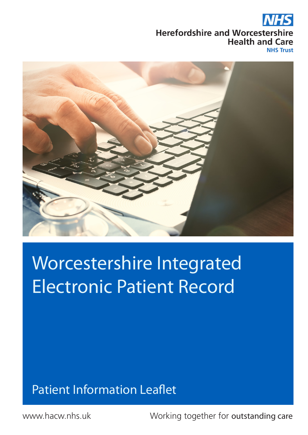#### **Herefordshire and Worcestershire Health and Care**

**NHS Trust** 



# Worcestershire Integrated Electronic Patient Record

### Patient Information Leaflet

www.hacw.nhs.uk

Working together for outstanding care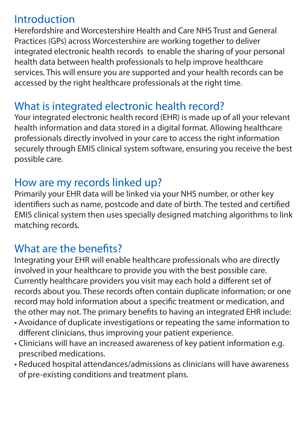#### **Introduction**

Herefordshire and Worcestershire Health and Care NHS Trust and General Practices (GPs) across Worcestershire are working together to deliver integrated electronic health records to enable the sharing of your personal health data between health professionals to help improve healthcare services. This will ensure you are supported and your health records can be accessed by the right healthcare professionals at the right time.

#### What is integrated electronic health record?

Your integrated electronic health record (EHR) is made up of all your relevant health information and data stored in a digital format. Allowing healthcare professionals directly involved in your care to access the right information securely through EMIS clinical system software, ensuring you receive the best possible care.

#### How are my records linked up?

Primarily your EHR data will be linked via your NHS number, or other key identifiers such as name, postcode and date of birth. The tested and certified EMIS clinical system then uses specially designed matching algorithms to link matching records.

#### What are the benefits?

Integrating your EHR will enable healthcare professionals who are directly involved in your healthcare to provide you with the best possible care. Currently healthcare providers you visit may each hold a different set of records about you. These records often contain duplicate information; or one record may hold information about a specific treatment or medication, and the other may not. The primary benefits to having an integrated EHR include:

- Avoidance of duplicate investigations or repeating the same information to different clinicians, thus improving your patient experience.
- Clinicians will have an increased awareness of key patient information e.g. prescribed medications.
- Reduced hospital attendances/admissions as clinicians will have awareness of pre-existing conditions and treatment plans.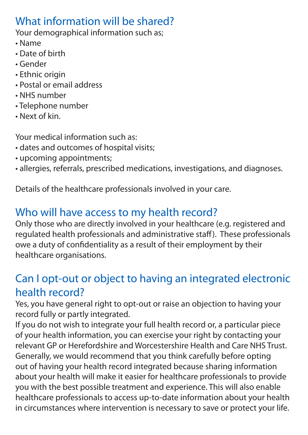#### What information will be shared?

Your demographical information such as:

- Name
- Date of birth
- Gender
- Ethnic origin
- Postal or email address
- NHS number
- Telephone number
- Next of kin.

Your medical information such as:

- dates and outcomes of hospital visits;
- upcoming appointments;
- allergies, referrals, prescribed medications, investigations, and diagnoses.

Details of the healthcare professionals involved in your care.

## Who will have access to my health record?

Only those who are directly involved in your healthcare (e.g. registered and regulated health professionals and administrative staff). These professionals owe a duty of confidentiality as a result of their employment by their healthcare organisations.

#### Can I opt-out or object to having an integrated electronic health record?

Yes, you have general right to opt-out or raise an objection to having your record fully or partly integrated.

If you do not wish to integrate your full health record or, a particular piece of your health information, you can exercise your right by contacting your relevant GP or Herefordshire and Worcestershire Health and Care NHS Trust. Generally, we would recommend that you think carefully before opting out of having your health record integrated because sharing information about your health will make it easier for healthcare professionals to provide you with the best possible treatment and experience. This will also enable healthcare professionals to access up-to-date information about your health in circumstances where intervention is necessary to save or protect your life.